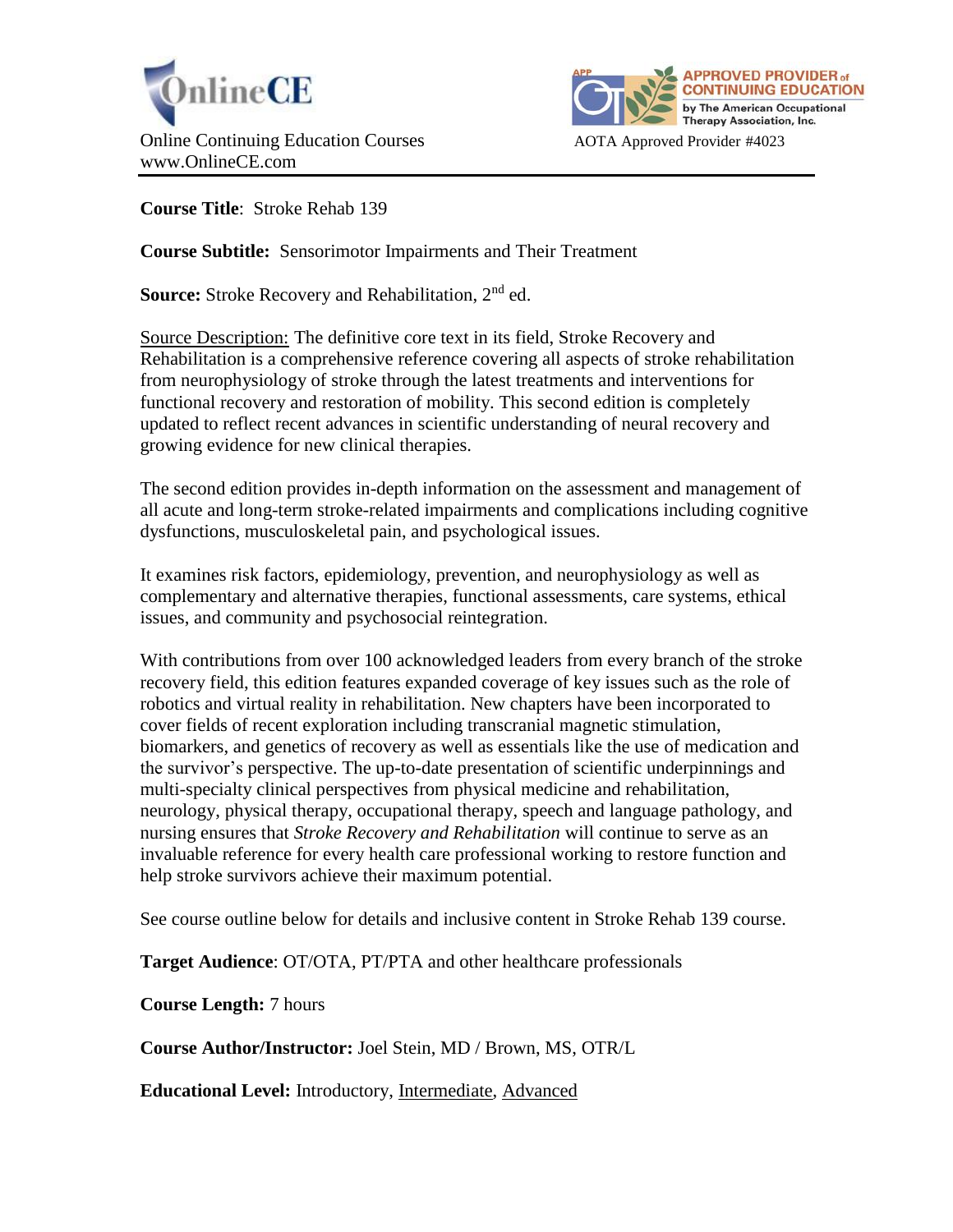



**Course Title**: Stroke Rehab 139

**Course Subtitle:** Sensorimotor Impairments and Their Treatment

**Source:** Stroke Recovery and Rehabilitation, 2<sup>nd</sup> ed.

Source Description: The definitive core text in its field, Stroke Recovery and Rehabilitation is a comprehensive reference covering all aspects of stroke rehabilitation from neurophysiology of stroke through the latest treatments and interventions for functional recovery and restoration of mobility. This second edition is completely updated to reflect recent advances in scientific understanding of neural recovery and growing evidence for new clinical therapies.

The second edition provides in-depth information on the assessment and management of all acute and long-term stroke-related impairments and complications including cognitive dysfunctions, musculoskeletal pain, and psychological issues.

It examines risk factors, epidemiology, prevention, and neurophysiology as well as complementary and alternative therapies, functional assessments, care systems, ethical issues, and community and psychosocial reintegration.

With contributions from over 100 acknowledged leaders from every branch of the stroke recovery field, this edition features expanded coverage of key issues such as the role of robotics and virtual reality in rehabilitation. New chapters have been incorporated to cover fields of recent exploration including transcranial magnetic stimulation, biomarkers, and genetics of recovery as well as essentials like the use of medication and the survivor's perspective. The up-to-date presentation of scientific underpinnings and multi-specialty clinical perspectives from physical medicine and rehabilitation, neurology, physical therapy, occupational therapy, speech and language pathology, and nursing ensures that *Stroke Recovery and Rehabilitation* will continue to serve as an invaluable reference for every health care professional working to restore function and help stroke survivors achieve their maximum potential.

See course outline below for details and inclusive content in Stroke Rehab 139 course.

**Target Audience**: OT/OTA, PT/PTA and other healthcare professionals

**Course Length:** 7 hours

**Course Author/Instructor:** Joel Stein, MD / Brown, MS, OTR/L

**Educational Level:** Introductory, Intermediate, Advanced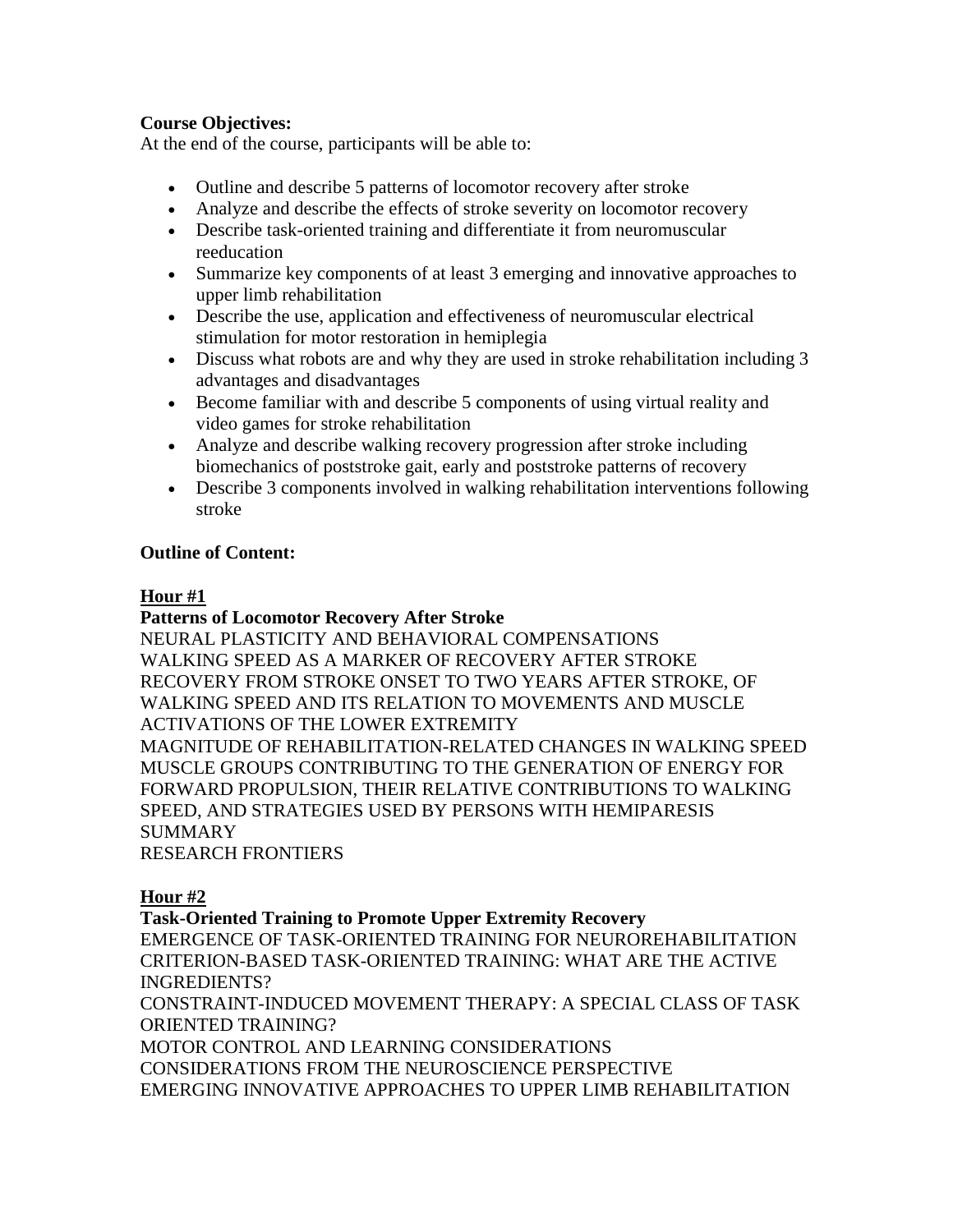# **Course Objectives:**

At the end of the course, participants will be able to:

- Outline and describe 5 patterns of locomotor recovery after stroke
- Analyze and describe the effects of stroke severity on locomotor recovery
- Describe task-oriented training and differentiate it from neuromuscular reeducation
- Summarize key components of at least 3 emerging and innovative approaches to upper limb rehabilitation
- Describe the use, application and effectiveness of neuromuscular electrical stimulation for motor restoration in hemiplegia
- Discuss what robots are and why they are used in stroke rehabilitation including 3 advantages and disadvantages
- Become familiar with and describe 5 components of using virtual reality and video games for stroke rehabilitation
- Analyze and describe walking recovery progression after stroke including biomechanics of poststroke gait, early and poststroke patterns of recovery
- Describe 3 components involved in walking rehabilitation interventions following stroke

# **Outline of Content:**

# **Hour #1**

## **Patterns of Locomotor Recovery After Stroke**

NEURAL PLASTICITY AND BEHAVIORAL COMPENSATIONS WALKING SPEED AS A MARKER OF RECOVERY AFTER STROKE RECOVERY FROM STROKE ONSET TO TWO YEARS AFTER STROKE, OF WALKING SPEED AND ITS RELATION TO MOVEMENTS AND MUSCLE ACTIVATIONS OF THE LOWER EXTREMITY MAGNITUDE OF REHABILITATION-RELATED CHANGES IN WALKING SPEED MUSCLE GROUPS CONTRIBUTING TO THE GENERATION OF ENERGY FOR FORWARD PROPULSION, THEIR RELATIVE CONTRIBUTIONS TO WALKING SPEED, AND STRATEGIES USED BY PERSONS WITH HEMIPARESIS **SUMMARY** 

RESEARCH FRONTIERS

# **Hour #2**

# **Task-Oriented Training to Promote Upper Extremity Recovery**

EMERGENCE OF TASK-ORIENTED TRAINING FOR NEUROREHABILITATION CRITERION-BASED TASK-ORIENTED TRAINING: WHAT ARE THE ACTIVE INGREDIENTS?

CONSTRAINT-INDUCED MOVEMENT THERAPY: A SPECIAL CLASS OF TASK ORIENTED TRAINING?

MOTOR CONTROL AND LEARNING CONSIDERATIONS CONSIDERATIONS FROM THE NEUROSCIENCE PERSPECTIVE EMERGING INNOVATIVE APPROACHES TO UPPER LIMB REHABILITATION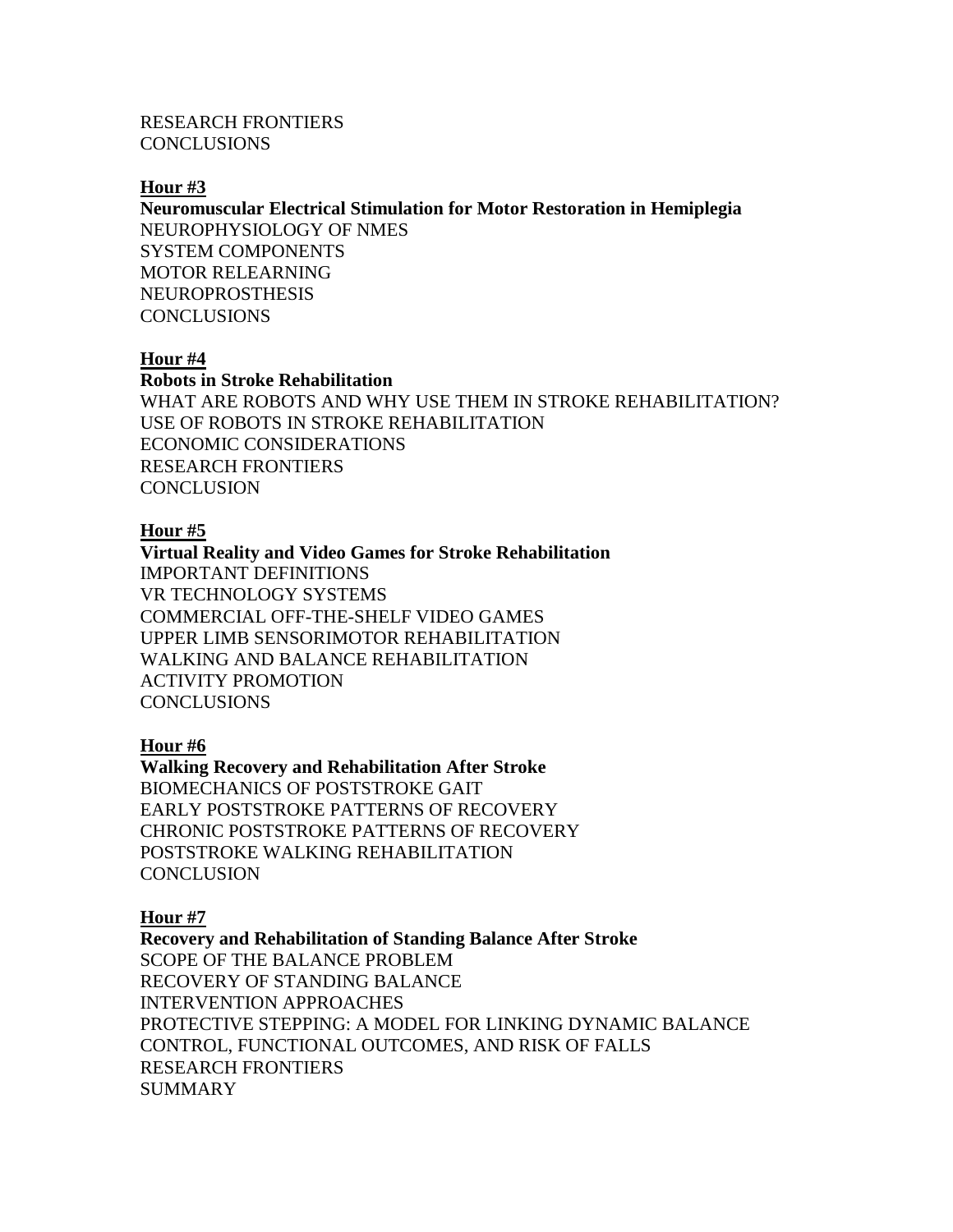RESEARCH FRONTIERS CONCLUSIONS

#### **Hour #3**

**Neuromuscular Electrical Stimulation for Motor Restoration in Hemiplegia** NEUROPHYSIOLOGY OF NMES SYSTEM COMPONENTS MOTOR RELEARNING NEUROPROSTHESIS **CONCLUSIONS** 

### **Hour #4**

**Robots in Stroke Rehabilitation**

WHAT ARE ROBOTS AND WHY USE THEM IN STROKE REHABILITATION? USE OF ROBOTS IN STROKE REHABILITATION ECONOMIC CONSIDERATIONS RESEARCH FRONTIERS **CONCLUSION** 

#### **Hour #5**

**Virtual Reality and Video Games for Stroke Rehabilitation** IMPORTANT DEFINITIONS VR TECHNOLOGY SYSTEMS COMMERCIAL OFF-THE-SHELF VIDEO GAMES UPPER LIMB SENSORIMOTOR REHABILITATION WALKING AND BALANCE REHABILITATION ACTIVITY PROMOTION CONCLUSIONS

## **Hour #6**

**Walking Recovery and Rehabilitation After Stroke** BIOMECHANICS OF POSTSTROKE GAIT EARLY POSTSTROKE PATTERNS OF RECOVERY CHRONIC POSTSTROKE PATTERNS OF RECOVERY POSTSTROKE WALKING REHABILITATION **CONCLUSION** 

### **Hour #7**

**Recovery and Rehabilitation of Standing Balance After Stroke** SCOPE OF THE BALANCE PROBLEM RECOVERY OF STANDING BALANCE INTERVENTION APPROACHES PROTECTIVE STEPPING: A MODEL FOR LINKING DYNAMIC BALANCE CONTROL, FUNCTIONAL OUTCOMES, AND RISK OF FALLS RESEARCH FRONTIERS SUMMARY